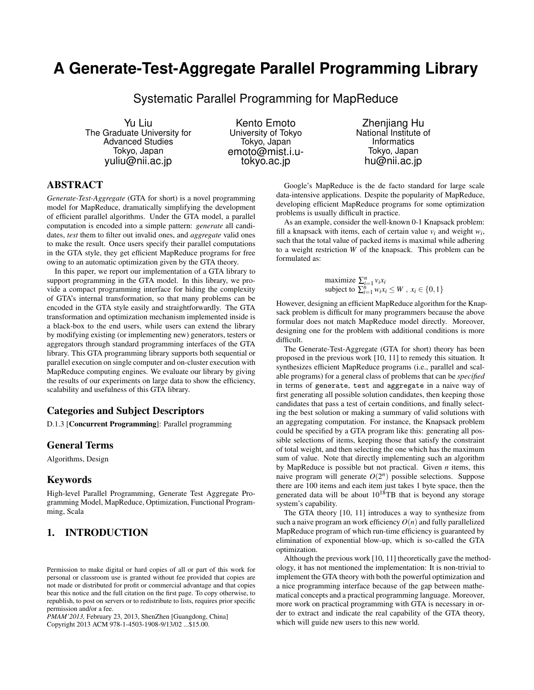# **A Generate-Test-Aggregate Parallel Programming Library**

Systematic Parallel Programming for MapReduce

Yu Liu The Graduate University for Advanced Studies Tokyo, Japan yuliu@nii.ac.jp

Kento Emoto University of Tokyo Tokyo, Japan emoto@mist.i.utokyo.ac.jp

Zhenjiang Hu National Institute of Informatics Tokyo, Japan hu@nii.ac.jp

# ABSTRACT

*Generate-Test-Aggregate* (GTA for short) is a novel programming model for MapReduce, dramatically simplifying the development of efficient parallel algorithms. Under the GTA model, a parallel computation is encoded into a simple pattern: *generate* all candidates, *test* them to filter out invalid ones, and *aggregate* valid ones to make the result. Once users specify their parallel computations in the GTA style, they get efficient MapReduce programs for free owing to an automatic optimization given by the GTA theory.

In this paper, we report our implementation of a GTA library to support programming in the GTA model. In this library, we provide a compact programming interface for hiding the complexity of GTA's internal transformation, so that many problems can be encoded in the GTA style easily and straightforwardly. The GTA transformation and optimization mechanism implemented inside is a black-box to the end users, while users can extend the library by modifying existing (or implementing new) generators, testers or aggregators through standard programming interfaces of the GTA library. This GTA programming library supports both sequential or parallel execution on single computer and on-cluster execution with MapReduce computing engines. We evaluate our library by giving the results of our experiments on large data to show the efficiency, scalability and usefulness of this GTA library.

### Categories and Subject Descriptors

D.1.3 [Concurrent Programming]: Parallel programming

### General Terms

Algorithms, Design

### Keywords

High-level Parallel Programming, Generate Test Aggregate Programming Model, MapReduce, Optimization, Functional Programming, Scala

# 1. INTRODUCTION

*PMAM'2013,* February 23, 2013, ShenZhen [Guangdong, China] Copyright 2013 ACM 978-1-4503-1908-9/13/02 ...\$15.00.

Google's MapReduce is the de facto standard for large scale data-intensive applications. Despite the popularity of MapReduce, developing efficient MapReduce programs for some optimization problems is usually difficult in practice.

As an example, consider the well-known 0-1 Knapsack problem: fill a knapsack with items, each of certain value  $v_i$  and weight  $w_i$ , such that the total value of packed items is maximal while adhering to a weight restriction *W* of the knapsack. This problem can be formulated as:

maximize 
$$
\sum_{i=1}^{n} v_i x_i
$$
  
subject to  $\sum_{i=1}^{n} w_i x_i \leq W$ ,  $x_i \in \{0, 1\}$ 

However, designing an efficient MapReduce algorithm for the Knapsack problem is difficult for many programmers because the above formular does not match MapReduce model directly. Moreover, designing one for the problem with additional conditions is more difficult.

The Generate-Test-Aggregate (GTA for short) theory has been proposed in the previous work [10, 11] to remedy this situation. It synthesizes efficient MapReduce programs (i.e., parallel and scalable programs) for a general class of problems that can be *specified* in terms of generate, test and aggregate in a naive way of first generating all possible solution candidates, then keeping those candidates that pass a test of certain conditions, and finally selecting the best solution or making a summary of valid solutions with an aggregating computation. For instance, the Knapsack problem could be specified by a GTA program like this: generating all possible selections of items, keeping those that satisfy the constraint of total weight, and then selecting the one which has the maximum sum of value. Note that directly implementing such an algorithm by MapReduce is possible but not practical. Given *n* items, this naive program will generate  $O(2^n)$  possible selections. Suppose there are 100 items and each item just takes 1 byte space, then the generated data will be about  $10^{18}$ TB that is beyond any storage system's capability.

The GTA theory [10, 11] introduces a way to synthesize from such a naive program an work efficiency  $O(n)$  and fully parallelized MapReduce program of which run-time efficiency is guaranteed by elimination of exponential blow-up, which is so-called the GTA optimization.

Although the previous work [10, 11] theoretically gave the methodology, it has not mentioned the implementation: It is non-trivial to implement the GTA theory with both the powerful optimization and a nice programming interface because of the gap between mathematical concepts and a practical programming language. Moreover, more work on practical programming with GTA is necessary in order to extract and indicate the real capability of the GTA theory, which will guide new users to this new world.

Permission to make digital or hard copies of all or part of this work for personal or classroom use is granted without fee provided that copies are not made or distributed for profit or commercial advantage and that copies bear this notice and the full citation on the first page. To copy otherwise, to republish, to post on servers or to redistribute to lists, requires prior specific permission and/or a fee.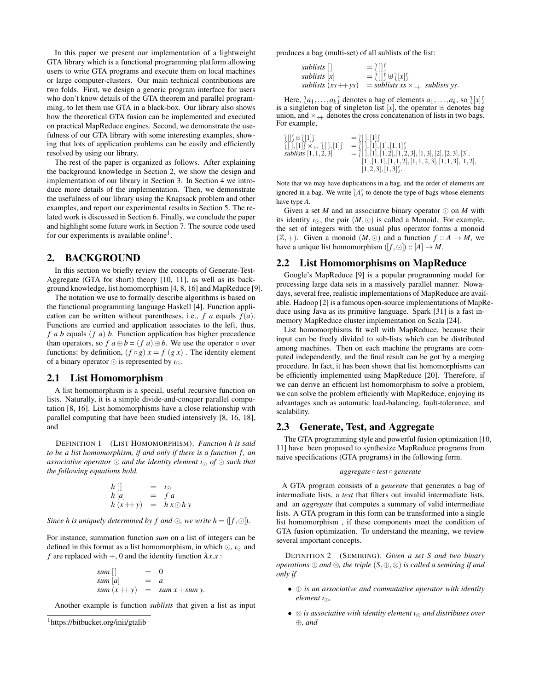In this paper we present our implementation of a lightweight GTA library which is a functional programming platform allowing users to write GTA programs and execute them on local machines or large computer-clusters. Our main technical contributions are two folds. First, we design a generic program interface for users who don't know details of the GTA theorem and parallel programming, to let them use GTA in a black-box. Our library also shows how the theoretical GTA fusion can be implemented and executed on practical MapReduce engines. Second, we demonstrate the usefulness of our GTA library with some interesting examples, showing that lots of application problems can be easily and efficiently resolved by using our library.

The rest of the paper is organized as follows. After explaining the background knowledge in Section 2, we show the design and implementation of our library in Section 3. In Section 4 we introduce more details of the implementation. Then, we demonstrate the usefulness of our library using the Knapsack problem and other examples, and report our experimental results in Section 5. The related work is discussed in Section 6. Finally, we conclude the paper and highlight some future work in Section 7. The source code used for our experiments is available online<sup>1</sup>.

### 2. BACKGROUND

In this section we briefly review the concepts of Generate-Test-Aggregate (GTA for short) theory [10, 11], as well as its background knowledge, list homomorphism [4, 8, 16] and MapReduce [9].

The notation we use to formally describe algorithms is based on the functional programming language Haskell [4]. Function application can be written without parentheses, i.e.,  $f$  *a* equals  $f(a)$ . Functions are curried and application associates to the left, thus, *f a b* equals (*f a*) *b*. Function application has higher precedence than operators, so  $f \circ a \oplus b = (f \circ a) \oplus b$ . We use the operator  $\circ$  over functions: by definition,  $(f \circ g) x = f(g x)$ . The identity element of a binary operator  $\odot$  is represented by  $\iota_{\odot}$ .

### 2.1 List Homomorphism

A list homomorphism is a special, useful recursive function on lists. Naturally, it is a simple divide-and-conquer parallel computation [8, 16]. List homomorphisms have a close relationship with parallel computing that have been studied intensively [8, 16, 18], and

DEFINITION 1 (LIST HOMOMORPHISM). *Function h is said to be a list homomorphism, if and only if there is a function f , an* associative operator  $\odot$  and the identity element  $\iota_{\odot}$  of  $\odot$  such that *the following equations hold.*

$$
h [] = i0
$$
  
\n
$$
h [a] = fa
$$
  
\n
$$
h (x \mapsto y) = h x \odot h y
$$

*Since h is uniquely determined by f and*  $\odot$ , we write  $h = (f, \odot)$ *.* 

For instance, summation function *sum* on a list of integers can be defined in this format as a list homomorphism, in which  $\odot$ ,  $\iota_{\odot}$  and *f* are replaced with  $+$ , 0 and the identity function  $\lambda x.x$ :

$$
sum [ ] = 0
$$
  
\n
$$
sum [ a ] = a
$$
  
\n
$$
sum ( x + y ) = sum x + sum y.
$$

Another example is function *sublists* that given a list as input

produces a bag (multi-set) of all sublists of the list:

$$
sublists [] = [] \nsublists [x] = [] \nsublists (xs ++ ys) = sublists xs \times + .
$$
 *sublists ys.*

Here,  $\{a_1, \ldots, a_k\}$  denotes a bag of elements  $a_1, \ldots, a_k$ , so  $\lfloor x \rfloor$  a singleton hag of singleton list  $\lfloor x \rfloor$  the operator  $\mathbb{H}$  denotes hage is a singleton bag of singleton list  $[x]$ , the operator  $\oplus$  denotes bag union, and  $\times_{++}$  denotes the cross concatenation of lists in two bags. For example,

\*[]+]\*[1]<sup>+</sup> <sup>=</sup> \*[ ],[1]<sup>+</sup> \*[ ],[1]+×++ \*[ ],[1]<sup>+</sup> <sup>=</sup> \*[ ],[1],[1],[1,1]<sup>+</sup> *sublists* [1,1,2,3] = \*[ ],[1],[1,2],[1,2,3],[1,3],[2],[2,3],[3], [1],[1,1],[1,1,2],[1,1,2,3],[1,1,3],[1,2], [1,2,3],[1,3]+.

Note that we may have duplications in a bag, and the order of elements are ignored in a bag. We write  $A \upharpoonright$  to denote the type of bags whose elements have type *A*.

Given a set *M* and an associative binary operator  $\odot$  on *M* with its identity  $\iota_{\odot}$ , the pair  $(M, \odot)$  is called a Monoid. For example, the set of integers with the usual plus operator forms a monoid  $(\mathbb{Z}, +)$ . Given a monoid  $(M, \odot)$  and a function  $f : A \rightarrow M$ , we have a unique list homomorphism  $([f, \odot]]$  ::  $[A] \rightarrow M$ .

### 2.2 List Homomorphisms on MapReduce

Google's MapReduce [9] is a popular programming model for processing large data sets in a massively parallel manner. Nowadays, several free, realistic implementations of MapReduce are available. Hadoop [2] is a famous open-source implementations of MapReduce using Java as its primitive language. Spark [31] is a fast inmemory MapReduce cluster implementation on Scala [24].

List homomorphisms fit well with MapReduce, because their input can be freely divided to sub-lists which can be distributed among machines. Then on each machine the programs are computed independently, and the final result can be got by a merging procedure. In fact, it has been shown that list homomorphisms can be efficiently implemented using MapReduce [20]. Therefore, if we can derive an efficient list homomorphism to solve a problem, we can solve the problem efficiently with MapReduce, enjoying its advantages such as automatic load-balancing, fault-tolerance, and scalability.

### 2.3 Generate, Test, and Aggregate

The GTA programming style and powerful fusion optimization [10, 11] have been proposed to synthesize MapReduce programs from naive specifications (GTA programs) in the following form.

#### *aggregate* ◦ *test* ◦ *generate*

A GTA program consists of a *generate* that generates a bag of intermediate lists, a *test* that filters out invalid intermediate lists, and an *aggregate* that computes a summary of valid intermediate lists. A GTA program in this form can be transformed into a single list homomorphism , if these components meet the condition of GTA fusion optimization. To understand the meaning, we review several important concepts.

DEFINITION 2 (SEMIRING). *Given a set S and two binary operations* ⊕ *and* ⊗*, the triple* (*S*,⊕,⊗) *is called a semiring if and only if*

- ⊕ *is an associative and commutative operator with identity element ı*⊕*,*
- ⊗ *is associative with identity element ı*⊗ *and distributes over* ⊕*, and*

<sup>1</sup>https://bitbucket.org/inii/gtalib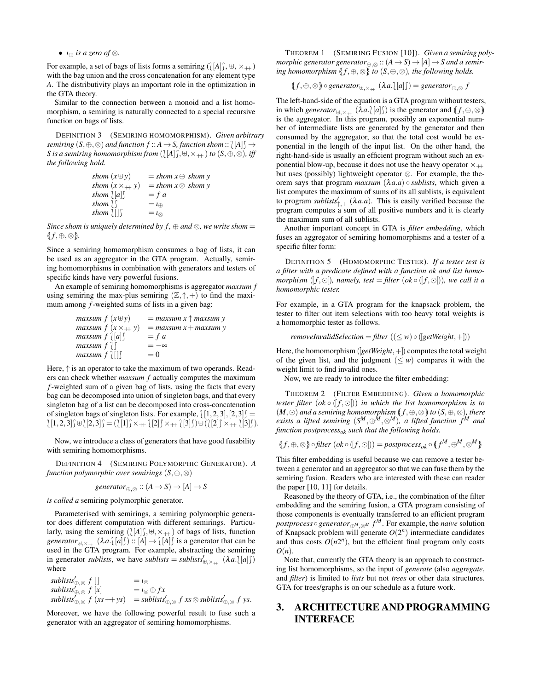### • *ı*⊕ *is a zero of* ⊗*.*

For example, a set of bags of lists forms a semiring  $(|A|, \forall, \times, \bot)$ with the bag union and the cross concatenation for any element type *A*. The distributivity plays an important role in the optimization in the GTA theory.

Similar to the connection between a monoid and a list homomorphism, a semiring is naturally connected to a special recursive function on bags of lists.

DEFINITION 3 (SEMIRING HOMOMORPHISM). *Given arbitrary semiring*  $(S, \oplus, \otimes)$  *and function f* :: *A* → *S*, *function shom* ::  $\left[ A \right] \left[ \rightarrow \right]$ *S* is a semiring homomorphism from  $([\![A]\!])$ , $\forall$ , $\times$ <sub>++</sub>  $\rangle$  to  $(S, \oplus, \otimes)$ , iff *the following hold.*

$$
shown (x\oplus y) = shown x \oplus shown y
$$
  
\n
$$
shown (x \times_{++} y) = shown x \otimes shown y
$$
  
\n
$$
shown [[a]] = f a
$$
  
\n
$$
shown [[\ ] = i_{\otimes}
$$

*Since shom is uniquely determined by f,*  $\oplus$  *and*  $\otimes$ *, we write shom* = ({ *f*,⊕,⊗})*.*

Since a semiring homomorphism consumes a bag of lists, it can be used as an aggregator in the GTA program. Actually, semiring homomorphisms in combination with generators and testers of specific kinds have very powerful fusions.

An example of semiring homomorphisms is aggregator *maxsum f* using semiring the max-plus semiring  $(\mathbb{Z}, \uparrow, +)$  to find the maximum among *f*-weighted sums of lists in a given bag:

| $maxsum f(x \oplus y)$   | $=$ maxsum $x \uparrow$ maxsum y |
|--------------------------|----------------------------------|
| $maxsum f(x \times + y)$ | $=$ maxsum $x$ + maxsum $y$      |
| maxsum $f$ [[a] $\int$   | $= f a$                          |
| maxsum $f \nvert \$      | $= -\infty$                      |
| $maxsum f$ [[] $\int$    | $= 0$                            |
|                          |                                  |

Here,  $\uparrow$  is an operator to take the maximum of two operands. Readers can check whether *maxsum f* actually computes the maximum *f*-weighted sum of a given bag of lists, using the facts that every bag can be decomposed into union of singleton bags, and that every singleton bag of a list can be decomposed into cross-concatenation of singleton bags of singleton lists. For example,  $\langle [1,2,3], [2,3] \rangle =$  $[1,2,3]\&\&[2,3]\&= (1[1]\&\&+ [2]\&\&+ [3]\&\&+ [3]\&$ 

Now, we introduce a class of generators that have good fusability with semiring homomorphisms.

DEFINITION 4 (SEMIRING POLYMORPHIC GENERATOR). *A function polymorphic over semirings* (*S*,⊕,⊗)

$$
generator_{\oplus,\otimes} :: (A \to S) \to [A] \to S
$$

#### *is called a* semiring polymorphic generator*.*

Parameterised with semirings, a semiring polymorphic generator does different computation with different semirings. Particularly, using the semiring  $([A]_1,\uplus,\times_+)$  of bags of lists, function *generator*<sub> $\uplus x_{++}$ </sub>  $(\lambda a.[[a]]) :: [A] \rightarrow [[A]]$  is a generator that can be used in the GTA program. For example, abstracting the comiting used in the GTA program. For example, abstracting the semiring in generator *sublists*, we have *sublists* = *sublists*<sup> $d_{\theta, \times_{\theta+}} (\lambda a.)[a])$ </sup> where

 $sublists'_{\oplus,\otimes} f$  []  $= i_{\otimes}$  $sublists'_{\oplus,\otimes} f[x]$  =  $\iota_{\otimes} \oplus fx$  $\textit{sublists}_{\oplus,\otimes}^{\prime\prime} f \text{ (}x\text{s } +\text{+}\text{ y}\text{s\text{)}} = \textit{sublists}_{\oplus,\otimes}^{\prime} f \text{ x}\text{s } \otimes \textit{sublists}_{\oplus,\otimes}^{\prime} f \text{ y}\text{s}.$ 

Moreover, we have the following powerful result to fuse such a generator with an aggregator of semiring homomorphisms.

THEOREM 1 (SEMIRING FUSION [10]). *Given a semiring polymorphic generator generator*<sub>⊕,⊗</sub>  $:(A \rightarrow S) \rightarrow [A] \rightarrow S$  *and a semiring homomorphism*  ${f, \oplus, \otimes}$  *to*  $(S, \oplus, \otimes)$ *, the following holds.* 

 $(f, \oplus, \otimes) \circ generator_{\oplus, \times_{++}} (\lambda \cdot a. [a]) = generator_{\oplus, \otimes} f$ 

The left-hand-side of the equation is a GTA program without testers, in which *generator*<sub> $\mathbb{H}, \times_+$ </sub>  $(\lambda a.[[a]])$  is the generator and  $\{f, \oplus, \otimes\}$ <br>is the aggregator. In this program, possibly an exponential numis the aggregator. In this program, possibly an exponential number of intermediate lists are generated by the generator and then consumed by the aggregator, so that the total cost would be exponential in the length of the input list. On the other hand, the right-hand-side is usually an efficient program without such an exponential blow-up, because it does not use the heavy operator  $\times_{++}$ but uses (possibly) lightweight operator ⊗. For example, the theorem says that program *maxsum*  $(\lambda a.a) \circ \textit{sublists}$ , which given a list computes the maximum of sums of its all sublists, is equivalent to program *sublists*<sup> $\prime$ </sup><sub>1</sub> ( $\lambda a.a$ ). This is easily verified because the program computes a sum of all positive numbers and it is clearly the maximum sum of all sublists.

Another important concept in GTA is *filter embedding*, which fuses an aggregator of semiring homomorphisms and a tester of a specific filter form:

DEFINITION 5 (HOMOMORPHIC TESTER). *If a tester test is a filter with a predicate defined with a function ok and list homomorphism* ([ $f$ , $\odot$ ])*, namely, test* = *filter* (*ok* $\circ$  ([ $f$ , $\odot$ ])*), we call it a homomorphic tester.*

For example, in a GTA program for the knapsack problem, the tester to filter out item selections with too heavy total weights is a homomorphic tester as follows.

*removeInvalidSelection* = *filter*  $((\leq w) \circ ([getWeight, +]))$ 

Here, the homomorphism ([*getWeight*,+]) computes the total weight of the given list, and the judgment  $(\leq w)$  compares it with the weight limit to find invalid ones.

Now, we are ready to introduce the filter embedding:

THEOREM 2 (FILTER EMBEDDING). *Given a homomorphic tester filter*  $(ok \circ ([f, \odot]))$  *in which the list homomorphism is to* (*M*,) *and a semiring homomorphism* ({ *f*,⊕,⊗})*to* (*S*,⊕,⊗)*, there*  $e$ xists a lifted semiring  $(S^M, \oplus^{\tilde{M}}, \otimes^{\tilde{M}})$ , a lifted function  $f^M$  and *function postprocessok such that the following holds.*

$$
\mathcal{M}_f, \oplus, \otimes \mathcal{M}_g \circ \textit{filter } (\textit{ok} \circ (\mathcal{F}, \odot)) = \textit{postprocess}_{\textit{ok}} \circ \mathcal{M}_f, \oplus^M, \otimes^M \mathcal{M}_g
$$

This filter embedding is useful because we can remove a tester between a generator and an aggregator so that we can fuse them by the semiring fusion. Readers who are interested with these can reader the paper [10, 11] for details.

Reasoned by the theory of GTA, i.e., the combination of the filter embedding and the semiring fusion, a GTA program consisting of those components is eventually transferred to an efficient program *postprocess*  $\circ$  *generator*<sub>⊕</sub>*M*<sub>,⊗</sub>*M*<sup>*f*<sup>*M*</sup>. For example, the *naive* solution</sup> of Knapsack problem will generate  $O(2^n)$  intermediate candidates and thus costs  $O(n2^n)$ , but the efficient final program only costs *O*(*n*).

Note that, currently the GTA theory is an approach to constructing list homomorphisms, so the input of *generate* (also *aggregate*, and *filter*) is limited to *lists* but not *trees* or other data structures. GTA for trees/graphs is on our schedule as a future work.

# 3. ARCHITECTURE AND PROGRAMMING INTERFACE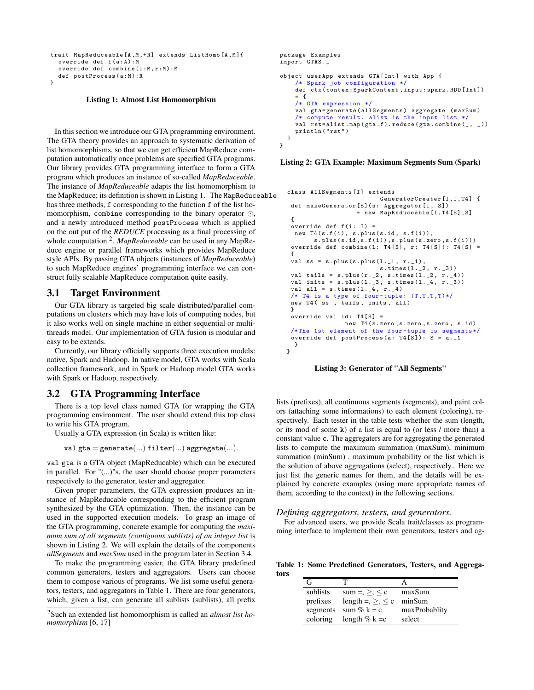```
trait MapReduceable [A, M, + R] extends ListHomo [A, M] {
  override def f(a:A):Moverride def combine (1:M, r:M): M
  def postProcess(a:M): R
}
```
#### Listing 1: Almost List Homomorphism

In this section we introduce our GTA programming environment. The GTA theory provides an approach to systematic derivation of list homomorphisms, so that we can get efficient MapReduce computation automatically once problems are specified GTA programs. Our library provides GTA programming interface to form a GTA program which produces an instance of so-called *MapReduceable*. The instance of *MapReduceable* adapts the list homomorphism to the MapReduce; its definition is shown in Listing 1. The MapReduceable has three methods, f corresponding to the function f of the list homomorphism, combine corresponding to the binary operator  $\odot$ , and a newly introduced method postProcess which is applied on the out put of the *REDUCE* processing as a final processing of whole computation <sup>2</sup>. *MapReduceable* can be used in any MapReduce engine or parallel frameworks which provides MapReduce style APIs. By passing GTA objects (instances of *MapReduceable*) to such MapReduce engines' programming interface we can construct fully scalable MapReduce computation quite easily.

### 3.1 Target Environment

Our GTA library is targeted big scale distributed/parallel computations on clusters which may have lots of computing nodes, but it also works well on single machine in either sequential or multithreads model. Our implementation of GTA fusion is modular and easy to be extends.

Currently, our library officially supports three execution models: native, Spark and Hadoop. In native model, GTA works with Scala collection framework, and in Spark or Hadoop model GTA works with Spark or Hadoop, respectively.

### 3.2 GTA Programming Interface

There is a top level class named GTA for wrapping the GTA programming environment. The user should extend this top class to write his GTA program.

Usually a GTA expression (in Scala) is written like:

val  $gta = generate(...) filter(...) aggregate(...).$ 

val gta is a GTA object (MapReducable) which can be executed in parallel. For "(...)"s, the user should choose proper parameters respectively to the generator, tester and aggregator.

Given proper parameters, the GTA expression produces an instance of MapReducable corresponding to the efficient program synthesized by the GTA optimization. Then, the instance can be used in the supported execution models. To grasp an image of the GTA programming, concrete example for computing the *maximum sum of all segments (contiguous sublists) of an integer list* is shown in Listing 2. We will explain the details of the components *allSegments* and *maxSum* used in the program later in Section 3.4.

To make the programming easier, the GTA library predefined common generators, testers and aggregators. Users can choose them to compose various of programs. We list some useful generators, testers, and aggregators in Table 1. There are four generators, which, given a list, can generate all sublists (sublists), all prefix

```
package Examples
import GTAS ._
object userApp extends GTA [Int] with App {
      /* Spark job configuration */
    def ctx ( contex : SparkContext , input : spark . RDD [ Int ])
    = {
    /* GTA expression */
    val gta=generate (allSegments) aggregate (maxSum)
    /* compute result. alist is the input list */val rst = alistmap(gta.f).reduce( gta. combine(_, _))println (" rst ")
 }
}
```


```
class AllSegments [I] extends
                            GeneratorCreater [I.I.T4] {
 def makeGenerator [S] (s: Aggregator [I, S])
                     = new MapReduceable [I , T4 [S],S]
 {
 override def f(i: I) =
  new T4(s.f(i), s. plus(s.id, s.f(i)),s. plus (s.id ,s.f(i )) , s. plus (s. zero ,s.f(i )))
override def combine (l: T4 [S], r: T4 [S ]): T4 [S] =
 {
 val ss = s.plus(s.plus(1._1, r.1),
 s. times (l._2 , r. _3 ))
val tails = s. plus (r._2 , s. times (l._2 , r. _4 ))
 val inits = s. plus (1. _3, s. times (1. _4, r. _3))val all = s.times(1.-4, r.-4)/* T4 is a type of four-tuple: (T,T,T,T)*/
 new T4( ss , tails, inits, all)
 }
 override val id: T4 [S] =new T4(s.zero, s.zero, s.zero, s.id)
 /* The 1st element of the four - tuple is segments */
 override def postProcess(a: T4[S]): S = a._1
  }
}
```
Listing 3: Generator of "All Segments"

lists (prefixes), all continuous segments (segments), and paint colors (attaching some informations) to each element (coloring), respectively. Each tester in the table tests whether the sum (length, or its mod of some k) of a list is equal to (or less / more than) a constant value c. The aggregaters are for aggregating the generated lists to compute the maximum summation (maxSum), minimum summation (minSum) , maximum probability or the list which is the solution of above aggregations (select), respectively.. Here we just list the generic names for them, and the details will be explained by concrete examples (using more appropriate names of them, according to the context) in the following sections.

### *Defining aggregators, testers, and generators.*

For advanced users, we provide Scala trait/classes as programming interface to implement their own generators, testers and ag-

Table 1: Some Predefined Generators, Testers, and Aggregators

| G        |                                                                                                                                                                                            |               |
|----------|--------------------------------------------------------------------------------------------------------------------------------------------------------------------------------------------|---------------|
|          | sublists<br>prefixes $\begin{array}{ l }\n\hline\n\text{sum} =, \geq, \leq \text{c} \\ \hline\n\text{length} =, \geq, \leq \text{c} \\ \text{sum } \% \text{ k = c}\n\end{array}$ maxProba |               |
|          |                                                                                                                                                                                            |               |
|          |                                                                                                                                                                                            | maxProbablity |
| coloring | length $% k = c$                                                                                                                                                                           | select        |

<sup>2</sup>Such an extended list homomorphism is called an *almost list homomorphism* [6, 17]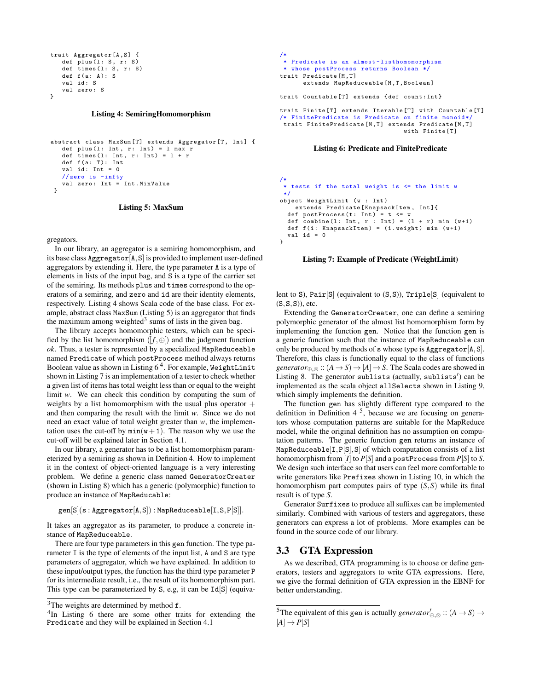```
trait Aggregator [A ,S] {
    def plus(l: S, r: S)<br>def times(l: S, r: S)
    def f(a: A): S
    val id: S
    val zero : S
}
```
#### Listing 4: SemiringHomomorphism

```
abstract class MaxSum [T] extends Aggregator [T, Int] {
   def plus(1: Int, r: Int) = 1 max rdef times (l: Int, r: Int) = 1 + rdef f(a: T): Int
   val id: Int = 0// zero is -infty
   val zero: Int = Int. MinValue
 }
```
#### Listing 5: MaxSum

gregators.

In our library, an aggregator is a semiring homomorphism, and its base class Aggregator  $[A, S]$  is provided to implement user-defined aggregators by extending it. Here, the type parameter A is a type of elements in lists of the input bag, and S is a type of the carrier set of the semiring. Its methods plus and times correspond to the operators of a semiring, and zero and id are their identity elements, respectively. Listing 4 shows Scala code of the base class. For example, abstract class MaxSum (Listing 5) is an aggregator that finds the maximum among weighted<sup>3</sup> sums of lists in the given bag.

The library accepts homomorphic testers, which can be specified by the list homomorphism ( $[f, \oplus]$ ) and the judgment function *ok*. Thus, a tester is represented by a specialized MapReduceable named Predicate of which postProcess method always returns Boolean value as shown in Listing  $6^{\,4}$ . For example, WeightLimit shown in Listing 7 is an implementation of a tester to check whether a given list of items has total weight less than or equal to the weight limit *w*. We can check this condition by computing the sum of weights by a list homomorphism with the usual plus operator  $+$ and then comparing the result with the limit *w*. Since we do not need an exact value of total weight greater than *w*, the implementation uses the cut-off by  $min(w+1)$ . The reason why we use the cut-off will be explained later in Section 4.1.

In our library, a generator has to be a list homomorphism parameterized by a semiring as shown in Definition 4. How to implement it in the context of object-oriented language is a very interesting problem. We define a generic class named GeneratorCreater (shown in Listing 8) which has a generic (polymorphic) function to produce an instance of MapReducable:

#### $gen|S|(s:Aggregator|A,S|):MapReduceable|I,S,P|S||.$

It takes an aggregator as its parameter, to produce a concrete instance of MapReduceable.

There are four type parameters in this gen function. The type parameter I is the type of elements of the input list, A and S are type parameters of aggregator, which we have explained. In addition to these input/output types, the function has the third type parameter P for its intermediate result, i.e., the result of its homomorphism part. This type can be parameterized by S, e.g, it can be Id[S] (equiva-

```
/*
* Predicate is an almost - listhomomorphism
* whose postProcess returns Boolean */
trait Predicate [M ,T]
      extends MapReduceable [M ,T , Boolean ]
trait Countable [T] extends { def count : Int }
```

```
trait Finite [T] extends Iterable [T] with Countable [T]
/* FinitePredicate is Predicate on finite monoid */
trait FinitePredicate [M ,T] extends Predicate [M ,T]
                                  with Finite [T]
```
#### Listing 6: Predicate and FinitePredicate

```
/*
* tests if the total weight is <= the limit w
*/
object WeightLimit (w : Int )
    extends Predicate [ KnapsackItem , Int ]{
  def postProcess(t: Int) = t \leq wdef combine (l: Int , r : Int ) = (l + r) min (w +1)
def f(i: KnapsackItem ) = (i. weight ) min (w +1)
  val id = 0}
```
#### Listing 7: Example of Predicate (WeightLimit)

lent to S),  $Pair[S]$  (equivalent to  $(S, S)$ ),  $Triple[S]$  (equivalent to  $(S, S, S)$ , etc.

Extending the GeneratorCreater, one can define a semiring polymorphic generator of the almost list homomorphism form by implementing the function gen. Notice that the function gen is a generic function such that the instance of MapReduceable can only be produced by methods of s whose type is  $Aggregation[A,S]$ . Therefore, this class is functionally equal to the class of functions *generator*⊕,⊗ ::  $(A \rightarrow S) \rightarrow [A] \rightarrow S$ . The Scala codes are showed in Listing 8. The generator sublists (actually, sublists') can be implemented as the scala object allSelects shown in Listing 9, which simply implements the definition.

The function gen has slightly different type compared to the definition in Definition  $4^5$ , because we are focusing on generators whose computation patterns are suitable for the MapReduce model, while the original definition has no assumption on computation patterns. The generic function gen returns an instance of  $MapReduceable[I, P[S], S]$  of which computation consists of a list homomorphism from [*I*] to  $P[S]$  and a postProcess from  $P[S]$  to *S*. We design such interface so that users can feel more comfortable to write generators like Prefixes shown in Listing 10, in which the homomorphism part computes pairs of type (*S*,*S*) while its final result is of type *S*.

Generator Surfixes to produce all suffixes can be implemented similarly. Combined with various of testers and aggregators, these generators can express a lot of problems. More examples can be found in the source code of our library.

### 3.3 GTA Expression

As we described, GTA programming is to choose or define generators, testers and aggregators to write GTA expressions. Here, we give the formal definition of GTA expression in the EBNF for better understanding.

 $3$ The weights are determined by method  $f$ .

<sup>&</sup>lt;sup>4</sup>In Listing 6 there are some other traits for extending the Predicate and they will be explained in Section 4.1

<sup>&</sup>lt;sup>5</sup>The equivalent of this gen is actually *generator*<sup> $\ell_{\oplus,\otimes}$  :: (*A* → *S*) →</sup>  $[A] \rightarrow P[S]$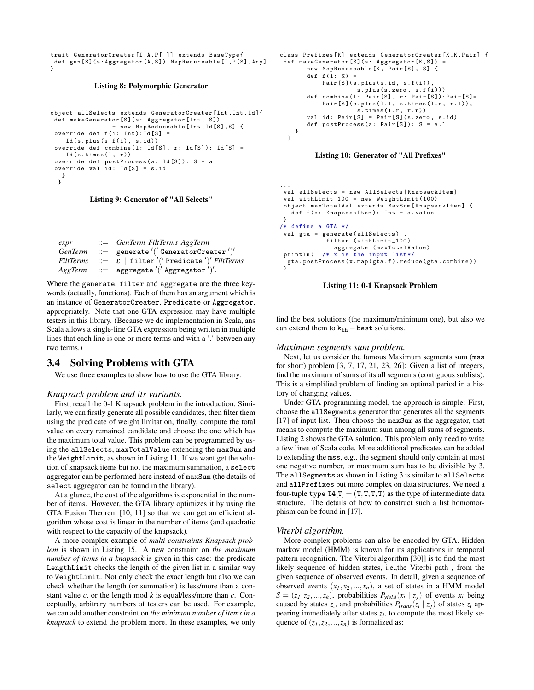```
trait GeneratorCreater [I ,A ,P[_ ]] extends BaseType {
def gen [S](s: Aggregator [A, S]): MapReduceable [I, P[S], Any]
}
```
#### Listing 8: Polymorphic Generator

```
object allSelects extends GeneratorCreater [ Int , Int , Id ]{
 def makeGenerator [S] (s: Aggregator [Int, S])
                  = new MapReduceable [ Int , Id [S],S] {
override def f(i: Int):Id[S] =
    Id(s. plus(s.f(i), s.id))override def combine (1: Id[S], r: Id[S]): Id[S] =
   Id (s. times (l , r ))
 override def postProcess(a: Id[S]): S = a<br>override val id: Id[S] = s.id
   }
  }
```
#### Listing 9: Generator of "All Selects"

| expr             | $\therefore$ GenTerm FiltTerms AggTerm                         |
|------------------|----------------------------------------------------------------|
| <b>GenTerm</b>   | $\therefore$ generate '(' GeneratorCreater')'                  |
| <i>FiltTerms</i> | $\therefore = \varepsilon$   filter '(' Predicate')' FiltTerms |
|                  | $AggTerm$ ::= aggregate'('Aggregator')'.                       |

Where the generate, filter and aggregate are the three keywords (actually, functions). Each of them has an argument which is an instance of GeneratorCreater, Predicate or Aggregator, appropriately. Note that one GTA expression may have multiple testers in this library. (Because we do implementation in Scala, ans Scala allows a single-line GTA expression being written in multiple lines that each line is one or more terms and with a '.' between any two terms.)

### 3.4 Solving Problems with GTA

We use three examples to show how to use the GTA library.

#### *Knapsack problem and its variants.*

First, recall the 0-1 Knapsack problem in the introduction. Similarly, we can firstly generate all possible candidates, then filter them using the predicate of weight limitation, finally, compute the total value on every remained candidate and choose the one which has the maximum total value. This problem can be programmed by using the allSelects, maxTotalValue extending the maxSum and the WeightLimit, as shown in Listing 11. If we want get the solution of knapsack items but not the maximum summation, a select aggregator can be performed here instead of maxSum (the details of select aggregator can be found in the library).

At a glance, the cost of the algorithms is exponential in the number of items. However, the GTA library optimizes it by using the GTA Fusion Theorem [10, 11] so that we can get an efficient algorithm whose cost is linear in the number of items (and quadratic with respect to the capacity of the knapsack).

A more complex example of *multi-constraints Knapsack problem* is shown in Listing 15. A new constraint on *the maximum number of items in a knapsack* is given in this case: the predicate LengthLimit checks the length of the given list in a similar way to WeightLimit. Not only check the exact length but also we can check whether the length (or summation) is less/more than a constant value *c*, or the length mod *k* is equal/less/more than *c*. Conceptually, arbitrary numbers of testers can be used. For example, we can add another constraint on *the minimum number of items in a knapsack* to extend the problem more. In these examples, we only

```
class Prefixes [K] extends GeneratorCreater [K, K, Pair] {
def makeGenerator [S] (s: Aggregator [K, S]) =
       new MapReduceable [K, Pair [S], S] {
       def f(i: K) =
           Pair[S](s. plus(s.id, s.f(i))s.plus(s.zero, s.f(i)))
       def combine (1: Pair [S], r: Pair [S]): Pair [S]=
           Pair[S](s. plus (1.1, s. times (1.r, r.1)),s. times (1.r, r.r))
       val id: Pair[S] = Pair[S](s. zero, s.id)def postProcess(a: Pair[S]): S = a.1}
 }
```
#### Listing 10: Generator of "All Prefixes"

```
...
val allSelects = new AllSelects [ KnapsackItem ]
 val withLimit_100 = new WeightLimit(100)<br>object maxTotalVal extends MaxSum[KnapsackItem] {
   def f(a: KnapsackItem ): Int = a. value
}
/* define a GTA */
val gta = generate ( allSelects ) .
               filter (withLimit_100)
 aggregate ( maxTotalValue )
println ( /* x is the input list */
  gta . postProcess (x. map ( gta .f ). reduce ( gta . combine ))
\lambda
```


find the best solutions (the maximum/minimum one), but also we can extend them to  $k_{th}$  – best solutions.

#### *Maximum segments sum problem.*

Next, let us consider the famous Maximum segments sum (mss for short) problem [3, 7, 17, 21, 23, 26]: Given a list of integers, find the maximum of sums of its all segments (contiguous sublists). This is a simplified problem of finding an optimal period in a history of changing values.

Under GTA programming model, the approach is simple: First, choose the allSegments generator that generates all the segments [17] of input list. Then choose the maxSum as the aggregator, that means to compute the maximum sum among all sums of segments. Listing 2 shows the GTA solution. This problem only need to write a few lines of Scala code. More additional predicates can be added to extending the mss, e.g., the segment should only contain at most one negative number, or maximum sum has to be divisible by 3. The allSegments as shown in Listing 3 is similar to allSelects and allPrefixes but more complex on data structures. We need a four-tuple type  $T4[T] = (T, T, T, T)$  as the type of intermediate data structure. The details of how to construct such a list homomorphism can be found in [17].

#### *Viterbi algorithm.*

More complex problems can also be encoded by GTA. Hidden markov model (HMM) is known for its applications in temporal pattern recognition. The Viterbi algorithm [30]] is to find the most likely sequence of hidden states, i.e.,the Viterbi path , from the given sequence of observed events. In detail, given a sequence of observed events  $(x_1, x_2, ..., x_n)$ , a set of states in a HMM model  $S = (z_1, z_2, \ldots, z_k)$ , probabilities  $P_{yield}(x_i | z_j)$  of events  $x_i$  being caused by states  $z_1$ , and probabilities  $P_{trans}(z_i | z_j)$  of states  $z_i$  appearing immediately after states  $z_j$ , to compute the most likely sequence of  $(z_1, z_2, ..., z_n)$  is formalized as: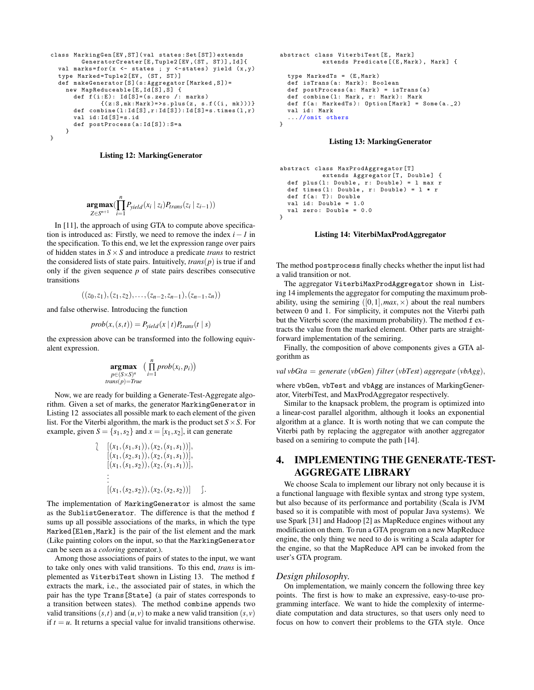```
class MarkingGen [EV, ST] (val states: Set [ST]) extends
        GeneratorCreater [E, Tuple2 [EV, (ST, ST)], Id]{
  val marks=for (x \le - states; y \le - states) yield (x, y)type Marked=Tuple2[EV, (ST, ST)]
  def makeGenerator [S] (s: Aggregator [Marked, S]) =
    new MapReduceable [E , Id [S],S] {
      def f(i:E): Id[S] = (s.zero /: marks)
             \{(z: S, mk: Mark) = > s. plus(z, s.f((i, mk))))\}def combine(1:Id[S],r:Id[S]): Id[S]=s.times(1,r)val id:Id[S]=s.iddef postProcess(a: Id [S]): S=a
    }
}
```
### Listing 12: MarkingGenerator

$$
\underset{Z \in S^{n+1}}{\arg \max} (\prod_{i=1}^n P_{yield}(x_i \mid z_i) P_{trans}(z_i \mid z_{i-1}))
$$

In [11], the approach of using GTA to compute above specification is introduced as: Firstly, we need to remove the index *i*−*1* in the specification. To this end, we let the expression range over pairs of hidden states in *S*×*S* and introduce a predicate *trans* to restrict the considered lists of state pairs. Intuitively, *trans*(*p*) is true if and only if the given sequence  $p$  of state pairs describes consecutive transitions

$$
((z_0, z_1), (z_1, z_2), \ldots, (z_{n-2}, z_{n-1}), (z_{n-1}, z_n))
$$

and false otherwise. Introducing the function

$$
prob(x, (s,t)) = P_{yield}(x | t)P_{trans}(t | s)
$$

the expression above can be transformed into the following equivalent expression.

$$
\underset{p\in (S\times S)^n}{\arg\max} \left(\prod_{i=1}^n prob(x_i, p_i)\right)
$$
\n
$$
\underset{trans(p)=True}{\arg\max}
$$

Now, we are ready for building a Generate-Test-Aggregate algorithm. Given a set of marks, the generator MarkingGenerator in Listing 12 associates all possible mark to each element of the given list. For the Viterbi algorithm, the mark is the product set  $S \times S$ . For example, given  $S = \{s_1, s_2\}$  and  $x = [x_1, x_2]$ , it can generate

$$
\begin{array}{l}\n\left[ (x_1, (s_1, s_1)), (x_2, (s_1, s_1)) \right], \\
\left[ (x_1, (s_2, s_1)), (x_2, (s_1, s_1)) \right], \\
\left[ (x_1, (s_1, s_2)), (x_2, (s_1, s_1)) \right], \\
\vdots \\
\left[ (x_1, (s_2, s_2)), (x_2, (s_2, s_2)) \right] \quad \right\}\n\end{array}
$$

The implementation of MarkingGenerator is almost the same as the SublistGenerator. The difference is that the method f sums up all possible associations of the marks, in which the type Marked [Elem, Mark] is the pair of the list element and the mark (Like painting colors on the input, so that the MarkingGenerator can be seen as a *coloring* generator.).

Among those associations of pairs of states to the input, we want to take only ones with valid transitions. To this end, *trans* is implemented as ViterbiTest shown in Listing 13. The method f extracts the mark, i.e., the associated pair of states, in which the pair has the type Trans[State] (a pair of states corresponds to a transition between states). The method combine appends two valid transitions  $(s,t)$  and  $(u, v)$  to make a new valid transition  $(s, v)$ if  $t = u$ . It returns a special value for invalid transitions otherwise.

```
abstract class ViterbiTest [E, Mark]
           extends Predicate [(E, Mark), Mark] {
  type MarkedTs = (E , Mark )
  def isTrans (a: Mark ): Boolean
  def postProcess (a: Mark) = isTrans (a)
  def combine (1: Mark, r: Mark): Mark
  def f(a: MarketTs): Option[Mark] = Some(a. _2)val id: Mark
  ... // omit others
\mathbf{r}
```
#### Listing 13: MarkingGenerator

```
abstract class MaxProdAggregator [T]
  extends Aggregator[T, Double] {<br>def plus(1: Double, r: Double) = 1 max r
  def times (1: Double, r: Double) = 1 * rdef f(a: T): Double
  val id: Double = 1.0val zero: Double = 0.0
}
```
#### Listing 14: ViterbiMaxProdAggregator

The method postprocess finally checks whether the input list had a valid transition or not.

The aggregator ViterbiMaxProdAggregator shown in Listing 14 implements the aggregator for computing the maximum probability, using the semiring  $([0,1], max, \times)$  about the real numbers between 0 and 1. For simplicity, it computes not the Viterbi path but the Viterbi score (the maximum probability). The method f extracts the value from the marked element. Other parts are straightforward implementation of the semiring.

Finally, the composition of above components gives a GTA algorithm as

*val vbGta* = *generate* (*vbGen*) *filter* (*vbTest*) *aggregate* (*vbAgg*),

where vbGen, vbTest and vbAgg are instances of MarkingGenerator, ViterbiTest, and MaxProdAggregator respectively.

Similar to the knapsack problem, the program is optimized into a linear-cost parallel algorithm, although it looks an exponential algorithm at a glance. It is worth noting that we can compute the Viterbi path by replacing the aggregator with another aggregator based on a semiring to compute the path [14].

# 4. IMPLEMENTING THE GENERATE-TEST-AGGREGATE LIBRARY

We choose Scala to implement our library not only because it is a functional language with flexible syntax and strong type system, but also because of its performance and portability (Scala is JVM based so it is compatible with most of popular Java systems). We use Spark [31] and Hadoop [2] as MapReduce engines without any modification on them. To run a GTA program on a new MapReduce engine, the only thing we need to do is writing a Scala adapter for the engine, so that the MapReduce API can be invoked from the user's GTA program.

#### *Design philosophy.*

On implementation, we mainly concern the following three key points. The first is how to make an expressive, easy-to-use programming interface. We want to hide the complexity of intermediate computation and data structures, so that users only need to focus on how to convert their problems to the GTA style. Once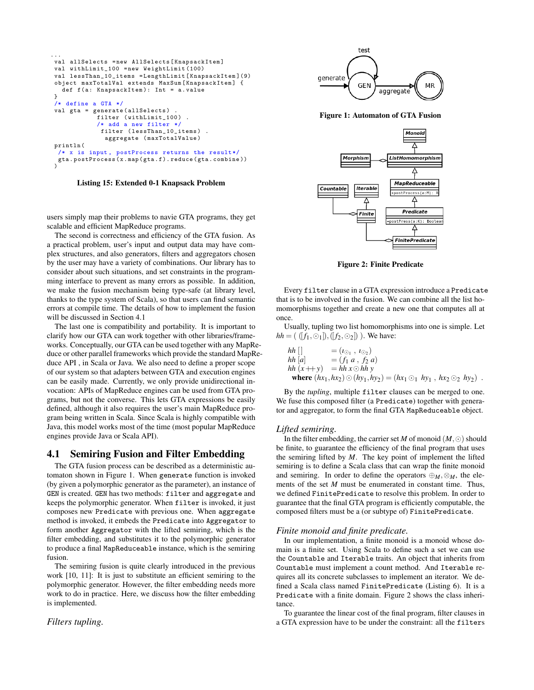```
...
val allSelects = new AllSelects [KnapsackItem]
val withLimit_100 = new WeightLimit (100)
val lessThan_10_items = LengthLimit [ KnapsackItem ](9)
object maxTotalVal extends MaxSum [ KnapsackItem ] {
  def f(a: KnapsackItem): Int = a. value
\frac{1}{1*}/* define a GTA */
val gta = generate (allSelects)
             filter (withLimit_100)
             /* add a new filter */
              filter (lessThan_10_items)
               aggregate ( maxTotalValue )
println (
  /* x is input , postProcess returns the result */
 gta . postProcess (x. map ( gta .f ). reduce ( gta . combine ))
 )
```


users simply map their problems to navie GTA programs, they get scalable and efficient MapReduce programs.

The second is correctness and efficiency of the GTA fusion. As a practical problem, user's input and output data may have complex structures, and also generators, filters and aggregators chosen by the user may have a variety of combinations. Our library has to consider about such situations, and set constraints in the programming interface to prevent as many errors as possible. In addition, we make the fusion mechanism being type-safe (at library level, thanks to the type system of Scala), so that users can find semantic errors at compile time. The details of how to implement the fusion will be discussed in Section 4.1

The last one is compatibility and portability. It is important to clarify how our GTA can work together with other libraries/frameworks. Conceptually, our GTA can be used together with any MapReduce or other parallel frameworks which provide the standard MapReduce API , in Scala or Java. We also need to define a proper scope of our system so that adapters between GTA and execution engines can be easily made. Currently, we only provide unidirectional invocation: APIs of MapReduce engines can be used from GTA programs, but not the converse. This lets GTA expressions be easily defined, although it also requires the user's main MapReduce program being written in Scala. Since Scala is highly compatible with Java, this model works most of the time (most popular MapReduce engines provide Java or Scala API).

### 4.1 Semiring Fusion and Filter Embedding

The GTA fusion process can be described as a deterministic automaton shown in Figure 1. When generate function is invoked (by given a polymorphic generator as the parameter), an instance of GEN is created. GEN has two methods: filter and aggregate and keeps the polymorphic generator. When filter is invoked, it just composes new Predicate with previous one. When aggregate method is invoked, it embeds the Predicate into Aggregator to form another Aggregator with the lifted semiring, which is the filter embedding, and substitutes it to the polymorphic generator to produce a final MapReduceable instance, which is the semiring fusion.

The semiring fusion is quite clearly introduced in the previous work [10, 11]: It is just to substitute an efficient semiring to the polymorphic generator. However, the filter embedding needs more work to do in practice. Here, we discuss how the filter embedding is implemented.

*Filters tupling.*



Figure 1: Automaton of GTA Fusion



Figure 2: Finite Predicate

Every filter clause in a GTA expression introduce a Predicate that is to be involved in the fusion. We can combine all the list homomorphisms together and create a new one that computes all at once.

Usually, tupling two list homomorphisms into one is simple. Let  $hh = (([f_1, \odot_1], ([f_2, \odot_2]))$ . We have:

*hh* 
$$
\begin{bmatrix} ] \\ h \end{bmatrix}
$$
 =  $(t_{\odot 1}, t_{\odot 2})$   
\n*hh*  $[a]$  =  $(f_1 a, f_2 a)$   
\n*hh*  $(x \rightarrow y)$  = *hh*  $x \odot hh$   $y$   
\n**where**  $(hx_1, hx_2) \odot (hy_1, hy_2) = (hx_1 \odot_1 hy_1, hx_2 \odot_2 hy_2)$ .

By the *tupling*, multiple filter clauses can be merged to one. We fuse this composed filter (a Predicate) together with generator and aggregator, to form the final GTA MapReduceable object.

#### *Lifted semiring.*

In the filter embedding, the carrier set M of monoid  $(M, \odot)$  should be finite, to guarantee the efficiency of the final program that uses the semiring lifted by *M*. The key point of implement the lifted semiring is to define a Scala class that can wrap the finite monoid and semiring. In order to define the operators  $\bigoplus_M$ ,  $\otimes_M$ , the elements of the set *M* must be enumerated in constant time. Thus, we defined FinitePredicate to resolve this problem. In order to guarantee that the final GTA program is efficiently computable, the composed filters must be a (or subtype of) FinitePredicate.

#### *Finite monoid and finite predicate.*

In our implementation, a finite monoid is a monoid whose domain is a finite set. Using Scala to define such a set we can use the Countable and Iterable traits. An object that inherits from Countable must implement a count method. And Iterable requires all its concrete subclasses to implement an iterator. We defined a Scala class named FinitePredicate (Listing 6). It is a Predicate with a finite domain. Figure 2 shows the class inheritance.

To guarantee the linear cost of the final program, filter clauses in a GTA expression have to be under the constraint: all the filters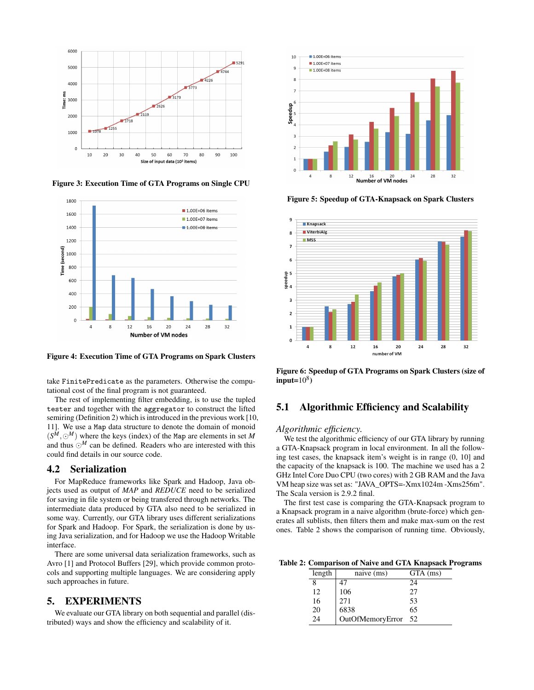

Figure 3: Execution Time of GTA Programs on Single CPU



Figure 4: Execution Time of GTA Programs on Spark Clusters

take FinitePredicate as the parameters. Otherwise the computational cost of the final program is not guaranteed.

The rest of implementing filter embedding, is to use the tupled tester and together with the aggregator to construct the lifted semiring (Definition 2) which is introduced in the previous work [10, 11]. We use a Map data structure to denote the domain of monoid  $(S^M, \odot^M)$  where the keys (index) of the Map are elements in set M and thus  $\odot^M$  can be defined. Readers who are interested with this could find details in our source code.

### 4.2 Serialization

For MapReduce frameworks like Spark and Hadoop, Java objects used as output of *MAP* and *REDUCE* need to be serialized for saving in file system or being transfered through networks. The intermediate data produced by GTA also need to be serialized in some way. Currently, our GTA library uses different serializations for Spark and Hadoop. For Spark, the serialization is done by using Java serialization, and for Hadoop we use the Hadoop Writable interface.

There are some universal data serialization frameworks, such as Avro [1] and Protocol Buffers [29], which provide common protocols and supporting multiple languages. We are considering apply such approaches in future.

### 5. EXPERIMENTS

We evaluate our GTA library on both sequential and parallel (distributed) ways and show the efficiency and scalability of it.



Figure 5: Speedup of GTA-Knapsack on Spark Clusters



Figure 6: Speedup of GTA Programs on Spark Clusters (size of input= $10^8$ )

# 5.1 Algorithmic Efficiency and Scalability

### *Algorithmic efficiency.*

We test the algorithmic efficiency of our GTA library by running a GTA-Knapsack program in local environment. In all the following test cases, the knapsack item's weight is in range (0, 10] and the capacity of the knapsack is 100. The machine we used has a 2 GHz Intel Core Duo CPU (two cores) with 2 GB RAM and the Java VM heap size was set as: "JAVA\_OPTS=-Xmx1024m -Xms256m". The Scala version is 2.9.2 final.

The first test case is comparing the GTA-Knapsack program to a Knapsack program in a naive algorithm (brute-force) which generates all sublists, then filters them and make max-sum on the rest ones. Table 2 shows the comparison of running time. Obviously,

Table 2: Comparison of Naive and GTA Knapsack Programs

| length         | naive (ms)       | GTA (ms) |
|----------------|------------------|----------|
|                |                  | 24       |
| 12             | 106              | 27       |
| 16             | 271              | 53       |
| 20             | 6838             | 65       |
| $\frac{1}{24}$ | OutOfMemoryError | 52       |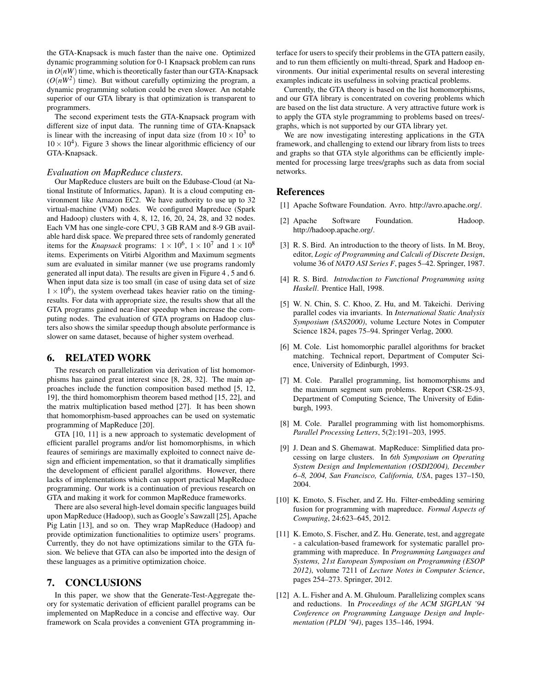the GTA-Knapsack is much faster than the naive one. Optimized dynamic programming solution for 0-1 Knapsack problem can runs in  $O(nW)$  time, which is theoretically faster than our GTA-Knapsack  $(O(nW^2)$  time). But without carefully optimizing the program, a dynamic programming solution could be even slower. An notable superior of our GTA library is that optimization is transparent to programmers.

The second experiment tests the GTA-Knapsack program with different size of input data. The running time of GTA-Knapsack is linear with the increasing of input data size (from  $10 \times 10^3$  to  $10 \times 10^4$ ). Figure 3 shows the linear algorithmic efficiency of our GTA-Knapsack.

### *Evaluation on MapReduce clusters.*

Our MapReduce clusters are built on the Edubase-Cloud (at National Institute of Informatics, Japan). It is a cloud computing environment like Amazon EC2. We have authority to use up to 32 virtual-machine (VM) nodes. We configured Mapreduce (Spark and Hadoop) clusters with 4, 8, 12, 16, 20, 24, 28, and 32 nodes. Each VM has one single-core CPU, 3 GB RAM and 8-9 GB available hard disk space. We prepared three sets of randomly generated items for the *Knapsack* programs:  $1 \times 10^6$ ,  $1 \times 10^7$  and  $1 \times 10^8$ items. Experiments on Vitirbi Algorithm and Maximum segments sum are evaluated in similar manner (we use programs randomly generated all input data). The results are given in Figure 4 , 5 and 6. When input data size is too small (in case of using data set of size  $1 \times 10^6$ ), the system overhead takes heavier ratio on the timingresults. For data with appropriate size, the results show that all the GTA programs gained near-liner speedup when increase the computing nodes. The evaluation of GTA programs on Hadoop clusters also shows the similar speedup though absolute performance is slower on same dataset, because of higher system overhead.

### 6. RELATED WORK

The research on parallelization via derivation of list homomorphisms has gained great interest since [8, 28, 32]. The main approaches include the function composition based method [5, 12, 19], the third homomorphism theorem based method [15, 22], and the matrix multiplication based method [27]. It has been shown that homomorphism-based approaches can be used on systematic programming of MapReduce [20].

GTA [10, 11] is a new approach to systematic development of efficient parallel programs and/or list homomorphisms, in which feaures of semirings are maximally exploited to connect naive design and efficient impementation, so that it dramatically simplifies the development of efficient parallel algorithms. However, there lacks of implementations which can support practical MapReduce programming. Our work is a continuation of previous research on GTA and making it work for common MapReduce frameworks.

There are also several high-level domain specific languages build upon MapReduce (Hadoop), such as Google's Sawzall [25], Apache Pig Latin [13], and so on. They wrap MapReduce (Hadoop) and provide optimization functionalities to optimize users' programs. Currently, they do not have optimizations similar to the GTA fusion. We believe that GTA can also be imported into the design of these languages as a primitive optimization choice.

### 7. CONCLUSIONS

In this paper, we show that the Generate-Test-Aggregate theory for systematic derivation of efficient parallel programs can be implemented on MapReduce in a concise and effective way. Our framework on Scala provides a convenient GTA programming interface for users to specify their problems in the GTA pattern easily, and to run them efficiently on multi-thread, Spark and Hadoop environments. Our initial experimental results on several interesting examples indicate its usefulness in solving practical problems.

Currently, the GTA theory is based on the list homomorphisms, and our GTA library is concentrated on covering problems which are based on the list data structure. A very attractive future work is to apply the GTA style programming to problems based on trees/ graphs, which is not supported by our GTA library yet.

We are now investigating interesting applications in the GTA framework, and challenging to extend our library from lists to trees and graphs so that GTA style algorithms can be efficiently implemented for processing large trees/graphs such as data from social networks.

### References

- [1] Apache Software Foundation. Avro. http://avro.apache.org/.
- [2] Apache Software Foundation. Hadoop. http://hadoop.apache.org/.
- [3] R. S. Bird. An introduction to the theory of lists. In M. Broy, editor, *Logic of Programming and Calculi of Discrete Design*, volume 36 of *NATO ASI Series F*, pages 5–42. Springer, 1987.
- [4] R. S. Bird. *Introduction to Functional Programming using Haskell*. Prentice Hall, 1998.
- [5] W. N. Chin, S. C. Khoo, Z. Hu, and M. Takeichi. Deriving parallel codes via invariants. In *International Static Analysis Symposium (SAS2000)*, volume Lecture Notes in Computer Science 1824, pages 75–94. Springer Verlag, 2000.
- [6] M. Cole. List homomorphic parallel algorithms for bracket matching. Technical report, Department of Computer Science, University of Edinburgh, 1993.
- [7] M. Cole. Parallel programming, list homomorphisms and the maximum segment sum problems. Report CSR-25-93, Department of Computing Science, The University of Edinburgh, 1993.
- [8] M. Cole. Parallel programming with list homomorphisms. *Parallel Processing Letters*, 5(2):191–203, 1995.
- [9] J. Dean and S. Ghemawat. MapReduce: Simplified data processing on large clusters. In *6th Symposium on Operating System Design and Implementation (OSDI2004), December 6–8, 2004, San Francisco, California, USA*, pages 137–150, 2004.
- [10] K. Emoto, S. Fischer, and Z. Hu. Filter-embedding semiring fusion for programming with mapreduce. *Formal Aspects of Computing*, 24:623–645, 2012.
- [11] K. Emoto, S. Fischer, and Z. Hu. Generate, test, and aggregate - a calculation-based framework for systematic parallel programming with mapreduce. In *Programming Languages and Systems, 21st European Symposium on Programming (ESOP 2012)*, volume 7211 of *Lecture Notes in Computer Science*, pages 254–273. Springer, 2012.
- [12] A. L. Fisher and A. M. Ghuloum. Parallelizing complex scans and reductions. In *Proceedings of the ACM SIGPLAN '94 Conference on Programming Language Design and Implementation (PLDI '94)*, pages 135–146, 1994.